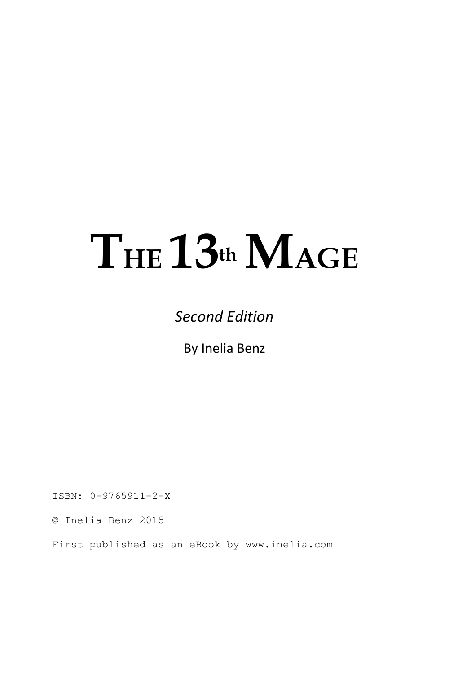# <span id="page-0-0"></span>**THE 13thMAGE**

#### *Second Edition*

By Inelia Benz

ISBN: 0-9765911-2-X

© Inelia Benz 2015

First published as an eBook by www.inelia.com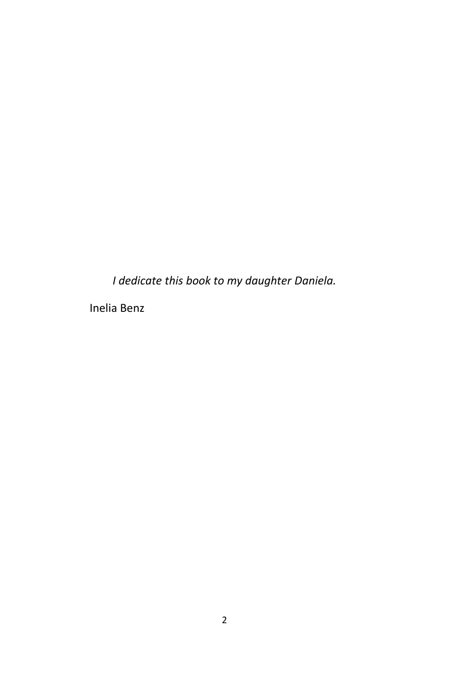*I dedicate this book to my daughter Daniela.*

Inelia Benz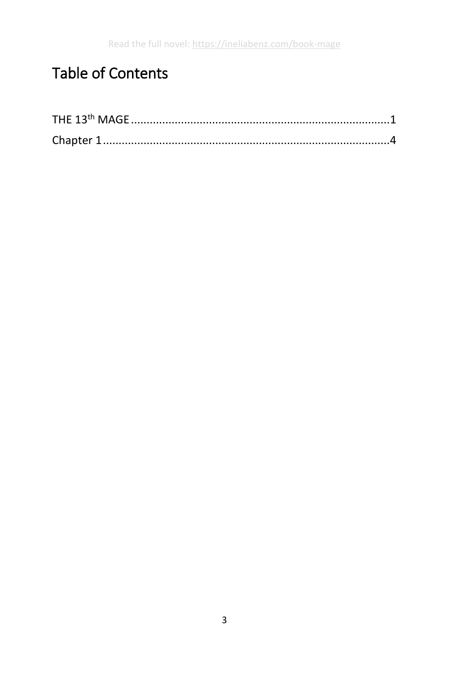### Table of Contents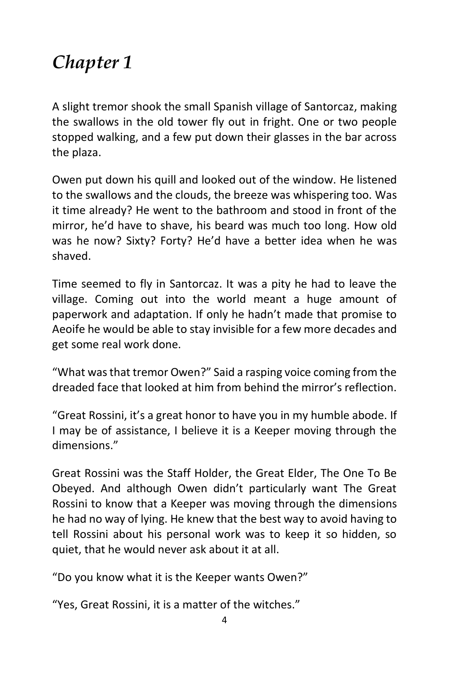## <span id="page-3-0"></span>*Chapter 1*

A slight tremor shook the small Spanish village of Santorcaz, making the swallows in the old tower fly out in fright. One or two people stopped walking, and a few put down their glasses in the bar across the plaza.

Owen put down his quill and looked out of the window. He listened to the swallows and the clouds, the breeze was whispering too. Was it time already? He went to the bathroom and stood in front of the mirror, he'd have to shave, his beard was much too long. How old was he now? Sixty? Forty? He'd have a better idea when he was shaved.

Time seemed to fly in Santorcaz. It was a pity he had to leave the village. Coming out into the world meant a huge amount of paperwork and adaptation. If only he hadn't made that promise to Aeoife he would be able to stay invisible for a few more decades and get some real work done.

"What was that tremor Owen?" Said a rasping voice coming from the dreaded face that looked at him from behind the mirror's reflection.

"Great Rossini, it's a great honor to have you in my humble abode. If I may be of assistance, I believe it is a Keeper moving through the dimensions."

Great Rossini was the Staff Holder, the Great Elder, The One To Be Obeyed. And although Owen didn't particularly want The Great Rossini to know that a Keeper was moving through the dimensions he had no way of lying. He knew that the best way to avoid having to tell Rossini about his personal work was to keep it so hidden, so quiet, that he would never ask about it at all.

"Do you know what it is the Keeper wants Owen?"

"Yes, Great Rossini, it is a matter of the witches."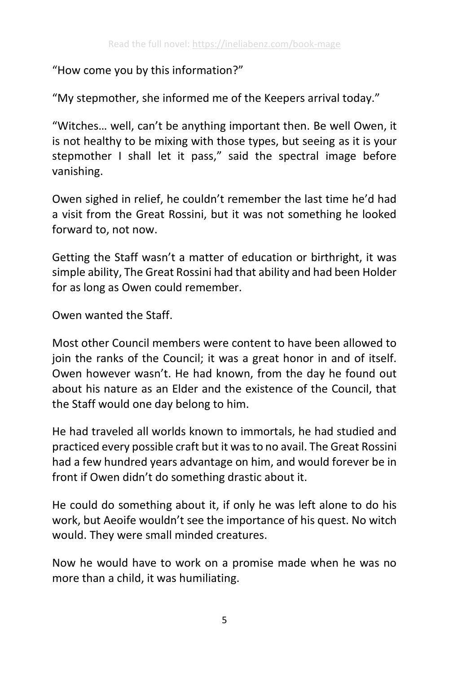#### "How come you by this information?"

"My stepmother, she informed me of the Keepers arrival today."

"Witches… well, can't be anything important then. Be well Owen, it is not healthy to be mixing with those types, but seeing as it is your stepmother I shall let it pass," said the spectral image before vanishing.

Owen sighed in relief, he couldn't remember the last time he'd had a visit from the Great Rossini, but it was not something he looked forward to, not now.

Getting the Staff wasn't a matter of education or birthright, it was simple ability, The Great Rossini had that ability and had been Holder for as long as Owen could remember.

Owen wanted the Staff.

Most other Council members were content to have been allowed to join the ranks of the Council; it was a great honor in and of itself. Owen however wasn't. He had known, from the day he found out about his nature as an Elder and the existence of the Council, that the Staff would one day belong to him.

He had traveled all worlds known to immortals, he had studied and practiced every possible craft but it was to no avail. The Great Rossini had a few hundred years advantage on him, and would forever be in front if Owen didn't do something drastic about it.

He could do something about it, if only he was left alone to do his work, but Aeoife wouldn't see the importance of his quest. No witch would. They were small minded creatures.

Now he would have to work on a promise made when he was no more than a child, it was humiliating.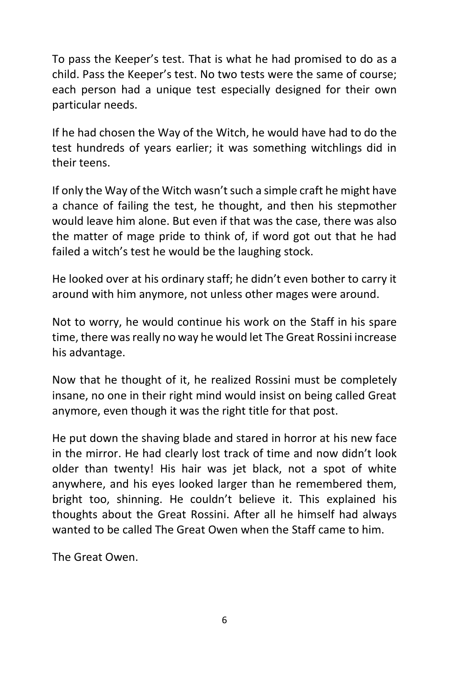To pass the Keeper's test. That is what he had promised to do as a child. Pass the Keeper's test. No two tests were the same of course; each person had a unique test especially designed for their own particular needs.

If he had chosen the Way of the Witch, he would have had to do the test hundreds of years earlier; it was something witchlings did in their teens.

If only the Way of the Witch wasn't such a simple craft he might have a chance of failing the test, he thought, and then his stepmother would leave him alone. But even if that was the case, there was also the matter of mage pride to think of, if word got out that he had failed a witch's test he would be the laughing stock.

He looked over at his ordinary staff; he didn't even bother to carry it around with him anymore, not unless other mages were around.

Not to worry, he would continue his work on the Staff in his spare time, there was really no way he would let The Great Rossini increase his advantage.

Now that he thought of it, he realized Rossini must be completely insane, no one in their right mind would insist on being called Great anymore, even though it was the right title for that post.

He put down the shaving blade and stared in horror at his new face in the mirror. He had clearly lost track of time and now didn't look older than twenty! His hair was jet black, not a spot of white anywhere, and his eyes looked larger than he remembered them, bright too, shinning. He couldn't believe it. This explained his thoughts about the Great Rossini. After all he himself had always wanted to be called The Great Owen when the Staff came to him.

The Great Owen.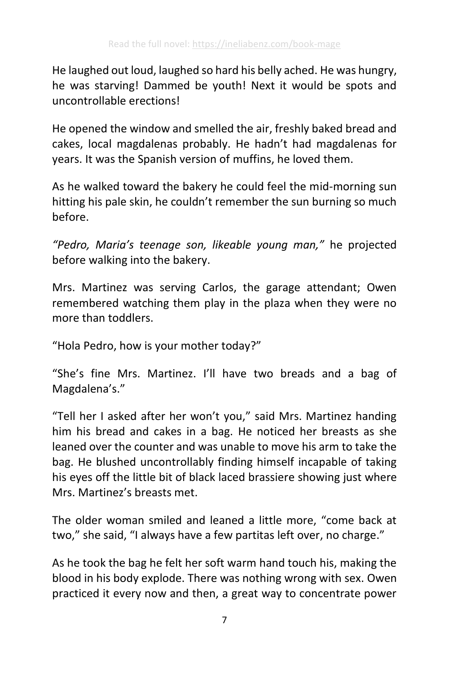He laughed out loud, laughed so hard his belly ached. He was hungry, he was starving! Dammed be youth! Next it would be spots and uncontrollable erections!

He opened the window and smelled the air, freshly baked bread and cakes, local magdalenas probably. He hadn't had magdalenas for years. It was the Spanish version of muffins, he loved them.

As he walked toward the bakery he could feel the mid-morning sun hitting his pale skin, he couldn't remember the sun burning so much before.

*"Pedro, Maria's teenage son, likeable young man,"* he projected before walking into the bakery.

Mrs. Martinez was serving Carlos, the garage attendant; Owen remembered watching them play in the plaza when they were no more than toddlers.

"Hola Pedro, how is your mother today?"

"She's fine Mrs. Martinez. I'll have two breads and a bag of Magdalena's."

"Tell her I asked after her won't you," said Mrs. Martinez handing him his bread and cakes in a bag. He noticed her breasts as she leaned over the counter and was unable to move his arm to take the bag. He blushed uncontrollably finding himself incapable of taking his eyes off the little bit of black laced brassiere showing just where Mrs. Martinez's breasts met.

The older woman smiled and leaned a little more, "come back at two," she said, "I always have a few partitas left over, no charge."

As he took the bag he felt her soft warm hand touch his, making the blood in his body explode. There was nothing wrong with sex. Owen practiced it every now and then, a great way to concentrate power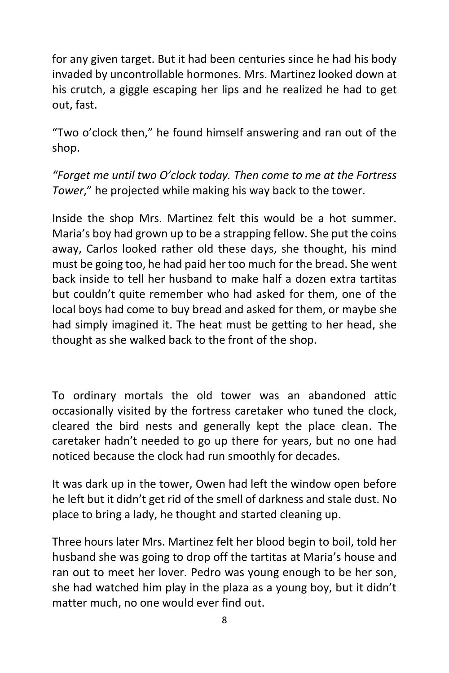for any given target. But it had been centuries since he had his body invaded by uncontrollable hormones. Mrs. Martinez looked down at his crutch, a giggle escaping her lips and he realized he had to get out, fast.

"Two o'clock then," he found himself answering and ran out of the shop.

*"Forget me until two O'clock today. Then come to me at the Fortress Tower*," he projected while making his way back to the tower.

Inside the shop Mrs. Martinez felt this would be a hot summer. Maria's boy had grown up to be a strapping fellow. She put the coins away, Carlos looked rather old these days, she thought, his mind must be going too, he had paid her too much for the bread. She went back inside to tell her husband to make half a dozen extra tartitas but couldn't quite remember who had asked for them, one of the local boys had come to buy bread and asked for them, or maybe she had simply imagined it. The heat must be getting to her head, she thought as she walked back to the front of the shop.

To ordinary mortals the old tower was an abandoned attic occasionally visited by the fortress caretaker who tuned the clock, cleared the bird nests and generally kept the place clean. The caretaker hadn't needed to go up there for years, but no one had noticed because the clock had run smoothly for decades.

It was dark up in the tower, Owen had left the window open before he left but it didn't get rid of the smell of darkness and stale dust. No place to bring a lady, he thought and started cleaning up.

Three hours later Mrs. Martinez felt her blood begin to boil, told her husband she was going to drop off the tartitas at Maria's house and ran out to meet her lover. Pedro was young enough to be her son, she had watched him play in the plaza as a young boy, but it didn't matter much, no one would ever find out.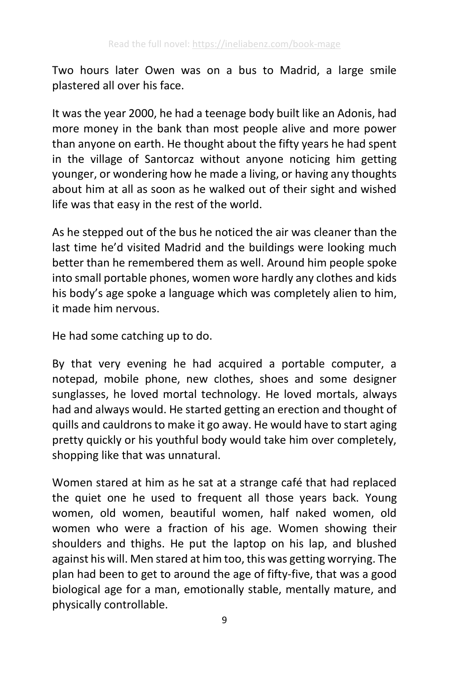Two hours later Owen was on a bus to Madrid, a large smile plastered all over his face.

It was the year 2000, he had a teenage body built like an Adonis, had more money in the bank than most people alive and more power than anyone on earth. He thought about the fifty years he had spent in the village of Santorcaz without anyone noticing him getting younger, or wondering how he made a living, or having any thoughts about him at all as soon as he walked out of their sight and wished life was that easy in the rest of the world.

As he stepped out of the bus he noticed the air was cleaner than the last time he'd visited Madrid and the buildings were looking much better than he remembered them as well. Around him people spoke into small portable phones, women wore hardly any clothes and kids his body's age spoke a language which was completely alien to him, it made him nervous.

He had some catching up to do.

By that very evening he had acquired a portable computer, a notepad, mobile phone, new clothes, shoes and some designer sunglasses, he loved mortal technology. He loved mortals, always had and always would. He started getting an erection and thought of quills and cauldrons to make it go away. He would have to start aging pretty quickly or his youthful body would take him over completely, shopping like that was unnatural.

Women stared at him as he sat at a strange café that had replaced the quiet one he used to frequent all those years back. Young women, old women, beautiful women, half naked women, old women who were a fraction of his age. Women showing their shoulders and thighs. He put the laptop on his lap, and blushed against his will. Men stared at him too, this was getting worrying. The plan had been to get to around the age of fifty-five, that was a good biological age for a man, emotionally stable, mentally mature, and physically controllable.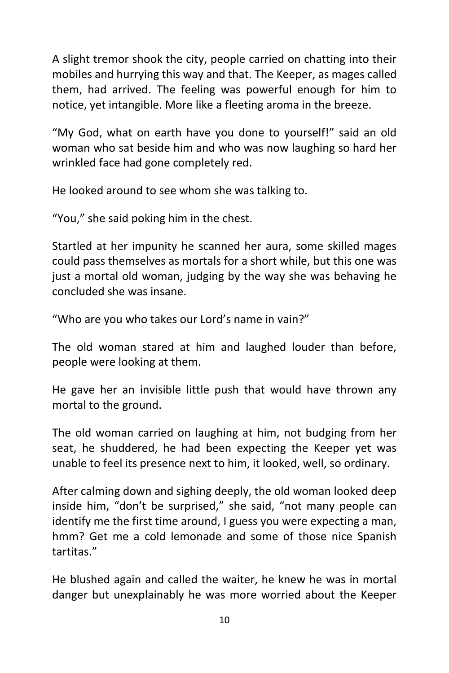A slight tremor shook the city, people carried on chatting into their mobiles and hurrying this way and that. The Keeper, as mages called them, had arrived. The feeling was powerful enough for him to notice, yet intangible. More like a fleeting aroma in the breeze.

"My God, what on earth have you done to yourself!" said an old woman who sat beside him and who was now laughing so hard her wrinkled face had gone completely red.

He looked around to see whom she was talking to.

"You," she said poking him in the chest.

Startled at her impunity he scanned her aura, some skilled mages could pass themselves as mortals for a short while, but this one was just a mortal old woman, judging by the way she was behaving he concluded she was insane.

"Who are you who takes our Lord's name in vain?"

The old woman stared at him and laughed louder than before, people were looking at them.

He gave her an invisible little push that would have thrown any mortal to the ground.

The old woman carried on laughing at him, not budging from her seat, he shuddered, he had been expecting the Keeper yet was unable to feel its presence next to him, it looked, well, so ordinary.

After calming down and sighing deeply, the old woman looked deep inside him, "don't be surprised," she said, "not many people can identify me the first time around, I guess you were expecting a man, hmm? Get me a cold lemonade and some of those nice Spanish tartitas."

He blushed again and called the waiter, he knew he was in mortal danger but unexplainably he was more worried about the Keeper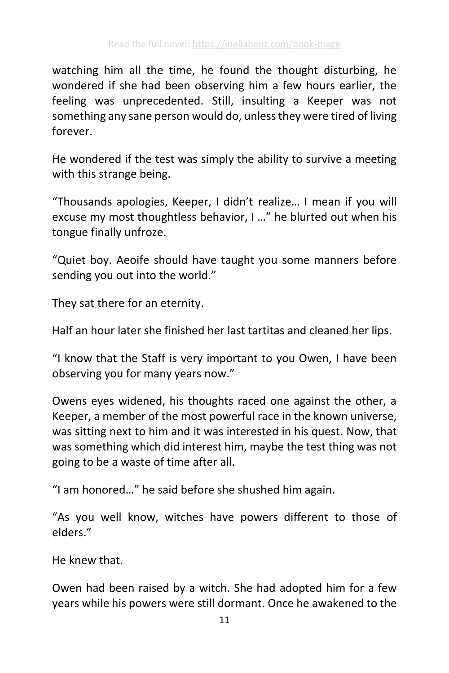watching him all the time, he found the thought disturbing, he wondered if she had been observing him a few hours earlier, the feeling was unprecedented. Still, insulting a Keeper was not something any sane person would do, unless they were tired of living forever.

He wondered if the test was simply the ability to survive a meeting with this strange being.

"Thousands apologies, Keeper, I didn't realize… I mean if you will excuse my most thoughtless behavior, I …" he blurted out when his tongue finally unfroze.

"Quiet boy. Aeoife should have taught you some manners before sending you out into the world."

They sat there for an eternity.

Half an hour later she finished her last tartitas and cleaned her lips.

"I know that the Staff is very important to you Owen, I have been observing you for many years now."

Owens eyes widened, his thoughts raced one against the other, a Keeper, a member of the most powerful race in the known universe, was sitting next to him and it was interested in his quest. Now, that was something which did interest him, maybe the test thing was not going to be a waste of time after all.

"I am honored…" he said before she shushed him again.

"As you well know, witches have powers different to those of elders."

He knew that.

Owen had been raised by a witch. She had adopted him for a few years while his powers were still dormant. Once he awakened to the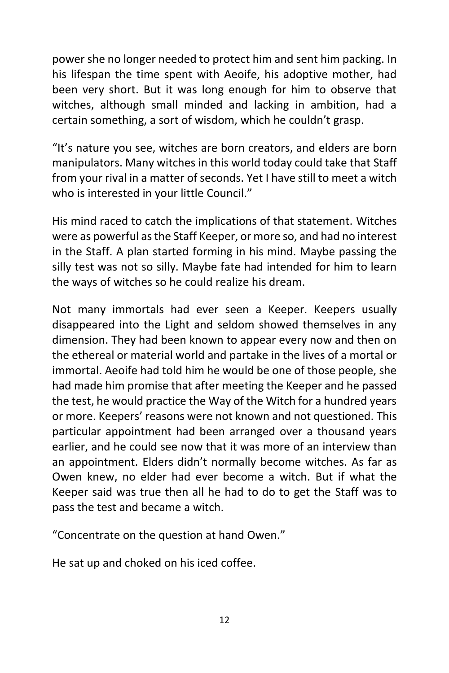power she no longer needed to protect him and sent him packing. In his lifespan the time spent with Aeoife, his adoptive mother, had been very short. But it was long enough for him to observe that witches, although small minded and lacking in ambition, had a certain something, a sort of wisdom, which he couldn't grasp.

"It's nature you see, witches are born creators, and elders are born manipulators. Many witches in this world today could take that Staff from your rival in a matter of seconds. Yet I have still to meet a witch who is interested in your little Council."

His mind raced to catch the implications of that statement. Witches were as powerful as the Staff Keeper, or more so, and had no interest in the Staff. A plan started forming in his mind. Maybe passing the silly test was not so silly. Maybe fate had intended for him to learn the ways of witches so he could realize his dream.

Not many immortals had ever seen a Keeper. Keepers usually disappeared into the Light and seldom showed themselves in any dimension. They had been known to appear every now and then on the ethereal or material world and partake in the lives of a mortal or immortal. Aeoife had told him he would be one of those people, she had made him promise that after meeting the Keeper and he passed the test, he would practice the Way of the Witch for a hundred years or more. Keepers' reasons were not known and not questioned. This particular appointment had been arranged over a thousand years earlier, and he could see now that it was more of an interview than an appointment. Elders didn't normally become witches. As far as Owen knew, no elder had ever become a witch. But if what the Keeper said was true then all he had to do to get the Staff was to pass the test and became a witch.

"Concentrate on the question at hand Owen."

He sat up and choked on his iced coffee.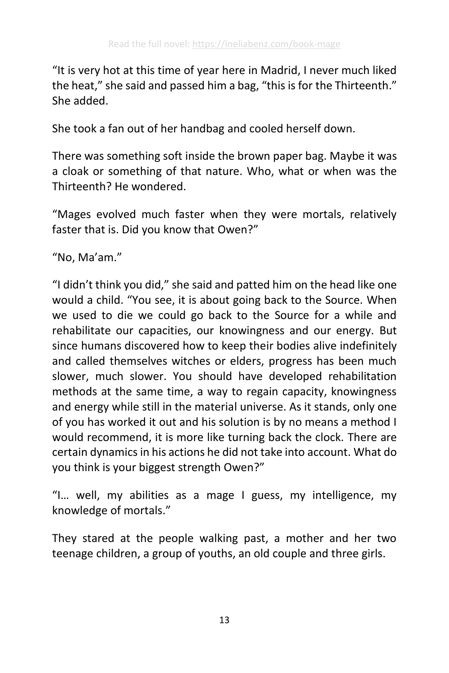"It is very hot at this time of year here in Madrid, I never much liked the heat," she said and passed him a bag, "this is for the Thirteenth." She added.

She took a fan out of her handbag and cooled herself down.

There was something soft inside the brown paper bag. Maybe it was a cloak or something of that nature. Who, what or when was the Thirteenth? He wondered.

"Mages evolved much faster when they were mortals, relatively faster that is. Did you know that Owen?"

"No, Ma'am."

"I didn't think you did," she said and patted him on the head like one would a child. "You see, it is about going back to the Source. When we used to die we could go back to the Source for a while and rehabilitate our capacities, our knowingness and our energy. But since humans discovered how to keep their bodies alive indefinitely and called themselves witches or elders, progress has been much slower, much slower. You should have developed rehabilitation methods at the same time, a way to regain capacity, knowingness and energy while still in the material universe. As it stands, only one of you has worked it out and his solution is by no means a method I would recommend, it is more like turning back the clock. There are certain dynamics in his actions he did not take into account. What do you think is your biggest strength Owen?"

"I… well, my abilities as a mage I guess, my intelligence, my knowledge of mortals."

They stared at the people walking past, a mother and her two teenage children, a group of youths, an old couple and three girls.